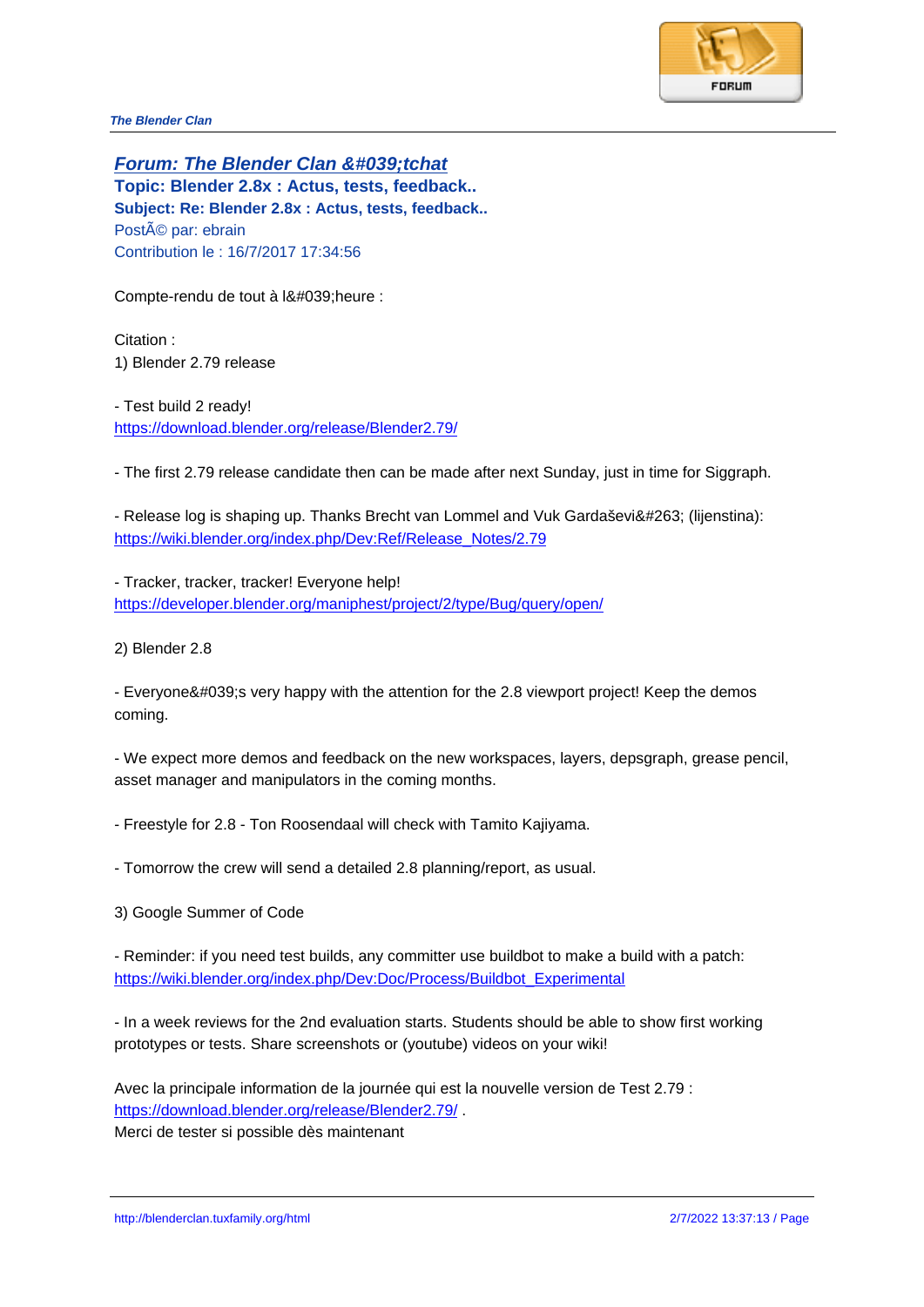**Forum: The Blender Clan &#039:tchat Topic: Blender 2.8x : Actus, tests, feedback.. Subject: Re: Blender 2.8x : Actus, tests, feedback..** Posté par: ebrain Contribution le : 16/7/2017 17:34:56

Compte-rendu de tout à l' heure :

Citation : 1) Blender 2.79 release

- Test build 2 ready! https://download.blender.org/release/Blender2.79/

- The first 2.79 release candidate then can be made after next Sunday, just in time for Siggraph.

[- Release log is shaping up. Thanks Brecht van Lo](https://download.blender.org/release/Blender2.79/)mmel and Vuk Gardašević (lijenstina): https://wiki.blender.org/index.php/Dev:Ref/Release\_Notes/2.79

- Tracker, tracker, tracker! Everyone help! [https://developer.blender.org/maniphest/project/2/type/Bug/que](https://wiki.blender.org/index.php/Dev:Ref/Release_Notes/2.79)ry/open/

2) Blender 2.8

[- Everyone's very happy with the attention for the 2.8 viewport pro](https://developer.blender.org/maniphest/project/2/type/Bug/query/open/)ject! Keep the demos coming.

- We expect more demos and feedback on the new workspaces, layers, depsgraph, grease pencil, asset manager and manipulators in the coming months.

- Freestyle for 2.8 Ton Roosendaal will check with Tamito Kajiyama.
- Tomorrow the crew will send a detailed 2.8 planning/report, as usual.
- 3) Google Summer of Code

- Reminder: if you need test builds, any committer use buildbot to make a build with a patch: https://wiki.blender.org/index.php/Dev:Doc/Process/Buildbot\_Experimental

- In a week reviews for the 2nd evaluation starts. Students should be able to show first working [prototypes or tests. Share screenshots or \(youtube\) videos on your wiki!](https://wiki.blender.org/index.php/Dev:Doc/Process/Buildbot_Experimental)

Avec la principale information de la journée qui est la nouvelle version de Test 2.79 : https://download.blender.org/release/Blender2.79/ .

Merci de tester si possible dès maintenant